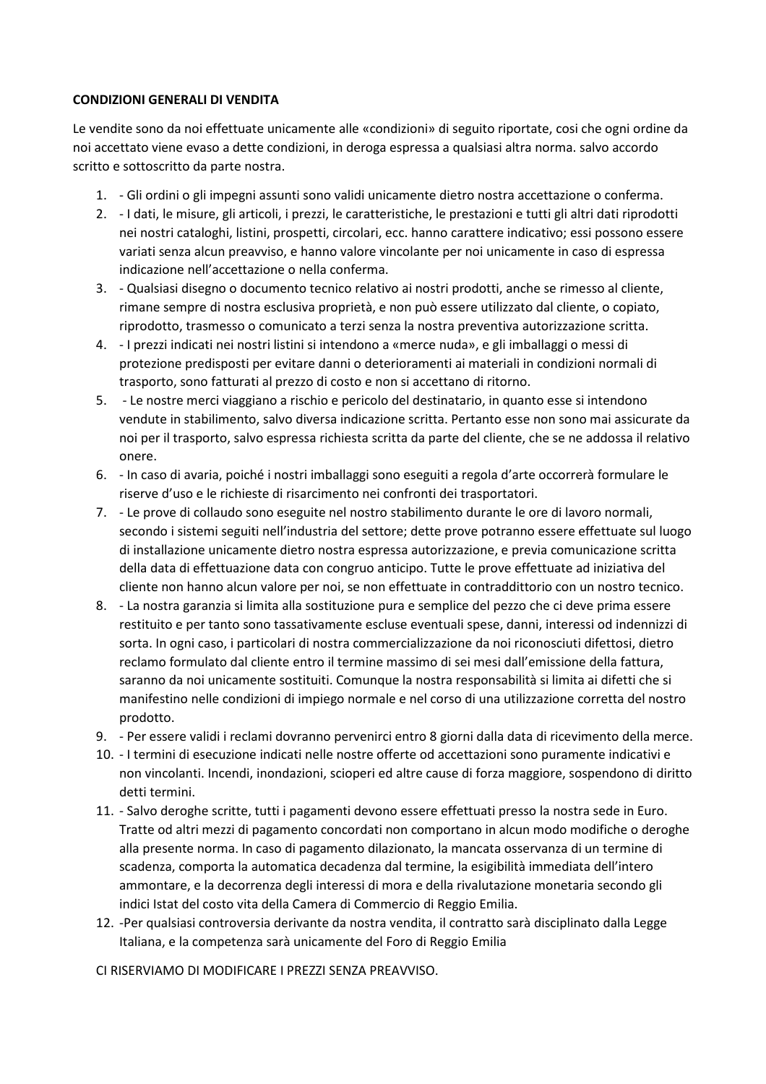## **CONDIZIONI GENERALI DI VENDITA**

Le vendite sono da noi effettuate unicamente alle «condizioni» di seguito riportate, cosi che ogni ordine da noi accettato viene evaso a dette condizioni, in deroga espressa a qualsiasi altra norma. salvo accordo scritto e sottoscritto da parte nostra.

- 1. Gli ordini o gli impegni assunti sono validi unicamente dietro nostra accettazione o conferma.
- 2. I dati, le misure, gli articoli, i prezzi, le caratteristiche, le prestazioni e tutti gli altri dati riprodotti nei nostri cataloghi, listini, prospetti, circolari, ecc. hanno carattere indicativo; essi possono essere variati senza alcun preavviso, e hanno valore vincolante per noi unicamente in caso di espressa indicazione nell'accettazione o nella conferma.
- 3. Qualsiasi disegno o documento tecnico relativo ai nostri prodotti, anche se rimesso al cliente, rimane sempre di nostra esclusiva proprietà, e non può essere utilizzato dal cliente, o copiato, riprodotto, trasmesso o comunicato a terzi senza la nostra preventiva autorizzazione scritta.
- 4. I prezzi indicati nei nostri listini si intendono a «merce nuda», e gli imballaggi o messi di protezione predisposti per evitare danni o deterioramenti ai materiali in condizioni normali di trasporto, sono fatturati al prezzo di costo e non si accettano di ritorno.
- 5. Le nostre merci viaggiano a rischio e pericolo del destinatario, in quanto esse si intendono vendute in stabilimento, salvo diversa indicazione scritta. Pertanto esse non sono mai assicurate da noi per il trasporto, salvo espressa richiesta scritta da parte del cliente, che se ne addossa il relativo onere.
- 6. In caso di avaria, poiché i nostri imballaggi sono eseguiti a regola d'arte occorrerà formulare le riserve d'uso e le richieste di risarcimento nei confronti dei trasportatori.
- 7. Le prove di collaudo sono eseguite nel nostro stabilimento durante le ore di lavoro normali, secondo i sistemi seguiti nell'industria del settore; dette prove potranno essere effettuate sul luogo di installazione unicamente dietro nostra espressa autorizzazione, e previa comunicazione scritta della data di effettuazione data con congruo anticipo. Tutte le prove effettuate ad iniziativa del cliente non hanno alcun valore per noi, se non effettuate in contraddittorio con un nostro tecnico.
- 8. La nostra garanzia si limita alla sostituzione pura e semplice del pezzo che ci deve prima essere restituito e per tanto sono tassativamente escluse eventuali spese, danni, interessi od indennizzi di sorta. In ogni caso, i particolari di nostra commercializzazione da noi riconosciuti difettosi, dietro reclamo formulato dal cliente entro il termine massimo di sei mesi dall'emissione della fattura, saranno da noi unicamente sostituiti. Comunque la nostra responsabilità si limita ai difetti che si manifestino nelle condizioni di impiego normale e nel corso di una utilizzazione corretta del nostro prodotto.
- 9. Per essere validi i reclami dovranno pervenirci entro 8 giorni dalla data di ricevimento della merce.
- 10. I termini di esecuzione indicati nelle nostre offerte od accettazioni sono puramente indicativi e non vincolanti. Incendi, inondazioni, scioperi ed altre cause di forza maggiore, sospendono di diritto detti termini.
- 11. Salvo deroghe scritte, tutti i pagamenti devono essere effettuati presso la nostra sede in Euro. Tratte od altri mezzi di pagamento concordati non comportano in alcun modo modifiche o deroghe alla presente norma. In caso di pagamento dilazionato, la mancata osservanza di un termine di scadenza, comporta la automatica decadenza dal termine, la esigibilità immediata dell'intero ammontare, e la decorrenza degli interessi di mora e della rivalutazione monetaria secondo gli indici Istat del costo vita della Camera di Commercio di Reggio Emilia.
- 12. -Per qualsiasi controversia derivante da nostra vendita, il contratto sarà disciplinato dalla Legge Italiana, e la competenza sarà unicamente del Foro di Reggio Emilia

CI RISERVIAMO DI MODIFICARE I PREZZI SENZA PREAVVISO.